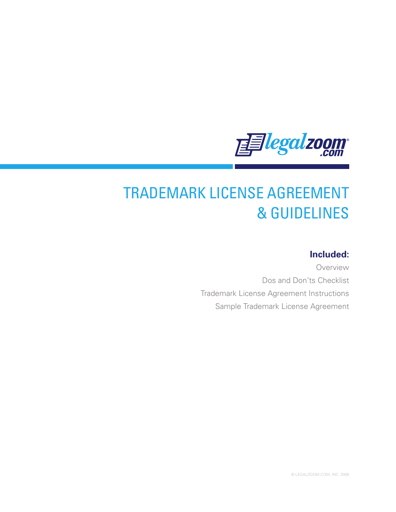

# TRADEMARK LICENSE AGREEMENT & GUIDELINES

# **Included:**

Overview Dos and Don'ts Checklist Trademark License Agreement Instructions Sample Trademark License Agreement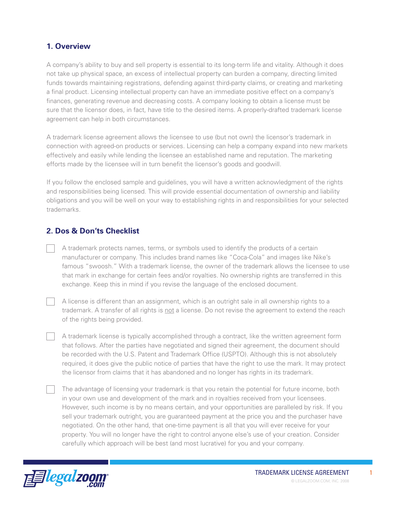## **1. Overview**

A company's ability to buy and sell property is essential to its long-term life and vitality. Although it does not take up physical space, an excess of intellectual property can burden a company, directing limited funds towards maintaining registrations, defending against third-party claims, or creating and marketing a final product. Licensing intellectual property can have an immediate positive effect on a company's finances, generating revenue and decreasing costs. A company looking to obtain a license must be sure that the licensor does, in fact, have title to the desired items. A properly-drafted trademark license agreement can help in both circumstances.

A trademark license agreement allows the licensee to use (but not own) the licensor's trademark in connection with agreed-on products or services. Licensing can help a company expand into new markets effectively and easily while lending the licensee an established name and reputation. The marketing efforts made by the licensee will in turn benefit the licensor's goods and goodwill.

If you follow the enclosed sample and guidelines, you will have a written acknowledgment of the rights and responsibilities being licensed. This will provide essential documentation of ownership and liability obligations and you will be well on your way to establishing rights in and responsibilities for your selected trademarks.

## **2. Dos & Don'ts Checklist**

A trademark protects names, terms, or symbols used to identify the products of a certain manufacturer or company. This includes brand names like "Coca-Cola" and images like Nike's famous "swoosh." With a trademark license, the owner of the trademark allows the licensee to use that mark in exchange for certain fees and/or royalties. No ownership rights are transferred in this exchange. Keep this in mind if you revise the language of the enclosed document.

A license is different than an assignment, which is an outright sale in all ownership rights to a trademark. A transfer of all rights is not a license. Do not revise the agreement to extend the reach of the rights being provided.

A trademark license is typically accomplished through a contract, like the written agreement form that follows. After the parties have negotiated and signed their agreement, the document should be recorded with the U.S. Patent and Trademark Office (USPTO). Although this is not absolutely required, it does give the public notice of parties that have the right to use the mark. It may protect the licensor from claims that it has abandoned and no longer has rights in its trademark.

The advantage of licensing your trademark is that you retain the potential for future income, both in your own use and development of the mark and in royalties received from your licensees. However, such income is by no means certain, and your opportunities are paralleled by risk. If you sell your trademark outright, you are guaranteed payment at the price you and the purchaser have negotiated. On the other hand, that one-time payment is all that you will ever receive for your property. You will no longer have the right to control anyone else's use of your creation. Consider carefully which approach will be best (and most lucrative) for you and your company.

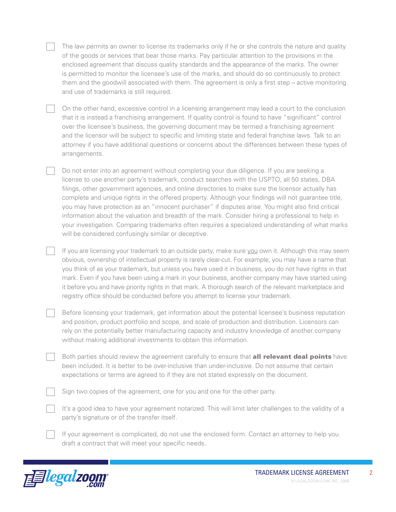The law permits an owner to license its trademarks only if he or she controls the nature and quality of the goods or services that bear those marks. Pay particular attention to the provisions in the enclosed agreement that discuss quality standards and the appearance of the marks. The owner is permitted to monitor the licensee's use of the marks, and should do so continuously to protect them and the goodwill associated with them. The agreement is only a first step – active monitoring and use of trademarks is still required.

On the other hand, excessive control in a licensing arrangement may lead a court to the conclusion that it is instead a franchising arrangement. If quality control is found to have "significant" control over the licensee's business, the governing document may be termed a franchising agreement and the licensor will be subject to specific and limiting state and federal franchise laws. Talk to an attorney if you have additional questions or concerns about the differences between these types of arrangements.

Do not enter into an agreement without completing your due diligence. If you are seeking a license to use another party's trademark, conduct searches with the USPTO, all 50 states, DBA filings, other government agencies, and online directories to make sure the licensor actually has complete and unique rights in the offered property. Although your findings will not guarantee title, you may have protection as an "innocent purchaser" if disputes arise. You might also find critical information about the valuation and breadth of the mark. Consider hiring a professional to help in your investigation. Comparing trademarks often requires a specialized understanding of what marks will be considered confusingly similar or deceptive.

If you are licensing your trademark to an outside party, make sure you own it. Although this may seem obvious, ownership of intellectual property is rarely clear-cut. For example, you may have a name that you think of as your trademark, but unless you have used it in business, you do not have rights in that mark. Even if you have been using a mark in your business, another company may have started using it before you and have priority rights in that mark. A thorough search of the relevant marketplace and registry office should be conducted before you attempt to license your trademark.

Before licensing your trademark, get information about the potential licensee's business reputation and position, product portfolio and scope, and scale of production and distribution. Licensors can rely on the potentially better manufacturing capacity and industry knowledge of another company without making additional investments to obtain this information.

Both parties should review the agreement carefully to ensure that **all relevant deal points** have been included. It is better to be over-inclusive than under-inclusive. Do not assume that certain expectations or terms are agreed to if they are not stated expressly on the document.

Sign two copies of the agreement, one for you and one for the other party.

It's a good idea to have your agreement notarized. This will limit later challenges to the validity of a party's signature or of the transfer itself.

If your agreement is complicated, do not use the enclosed form. Contact an attorney to help you draft a contract that will meet your specific needs.

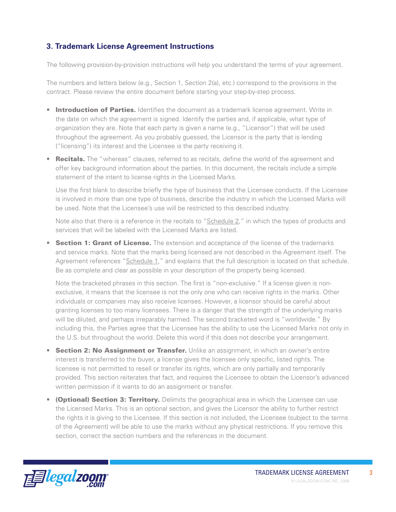## **3. Trademark License Agreement Instructions**

The following provision-by-provision instructions will help you understand the terms of your agreement.

The numbers and letters below (e.g., Section 1, Section 2(a), etc.) correspond to the provisions in the contract. Please review the entire document before starting your step-by-step process.

- **Introduction of Parties.** Identifies the document as a trademark license agreement. Write in the date on which the agreement is signed. Identify the parties and, if applicable, what type of organization they are. Note that each party is given a name (e.g., "Licensor") that will be used throughout the agreement. As you probably guessed, the Licensor is the party that is lending ("licensing") its interest and the Licensee is the party receiving it.
- Recitals. The "whereas" clauses, referred to as recitals, define the world of the agreement and offer key background information about the parties. In this document, the recitals include a simple statement of the intent to license rights in the Licensed Marks.

Use the first blank to describe briefly the type of business that the Licensee conducts. If the Licensee is involved in more than one type of business, describe the industry in which the Licensed Marks will be used. Note that the Licensee's use will be restricted to this described industry.

Note also that there is a reference in the recitals to "Schedule 2," in which the types of products and services that will be labeled with the Licensed Marks are listed.

• Section 1: Grant of License. The extension and acceptance of the license of the trademarks and service marks. Note that the marks being licensed are not described in the Agreement itself. The Agreement references "Schedule 1," and explains that the full description is located on that schedule. Be as complete and clear as possible in your description of the property being licensed.

Note the bracketed phrases in this section. The first is "non-exclusive." If a license given is nonexclusive, it means that the licensee is not the only one who can receive rights in the marks. Other individuals or companies may also receive licenses. However, a licensor should be careful about granting licenses to too many licensees. There is a danger that the strength of the underlying marks will be diluted, and perhaps irreparably harmed. The second bracketed word is "worldwide." By including this, the Parties agree that the Licensee has the ability to use the Licensed Marks not only in the U.S. but throughout the world. Delete this word if this does not describe your arrangement.

- Section 2: No Assignment or Transfer. Unlike an assignment, in which an owner's entire interest is transferred to the buyer, a license gives the licensee only specific, listed rights. The licensee is not permitted to resell or transfer its rights, which are only partially and temporarily provided. This section reiterates that fact, and requires the Licensee to obtain the Licensor's advanced written permission if it wants to do an assignment or transfer.
- (Optional) Section 3: Territory. Delimits the geographical area in which the Licensee can use the Licensed Marks. This is an optional section, and gives the Licensor the ability to further restrict the rights it is giving to the Licensee. If this section is not included, the Licensee (subject to the terms of the Agreement) will be able to use the marks without any physical restrictions. If you remove this section, correct the section numbers and the references in the document.

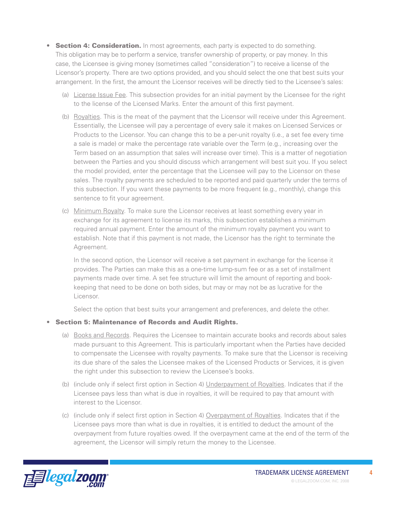- Section 4: Consideration. In most agreements, each party is expected to do something. This obligation may be to perform a service, transfer ownership of property, or pay money. In this case, the Licensee is giving money (sometimes called "consideration") to receive a license of the Licensor's property. There are two options provided, and you should select the one that best suits your arrangement. In the first, the amount the Licensor receives will be directly tied to the Licensee's sales:
	- (a) License Issue Fee. This subsection provides for an initial payment by the Licensee for the right to the license of the Licensed Marks. Enter the amount of this first payment.
	- (b) Royalties. This is the meat of the payment that the Licensor will receive under this Agreement. Essentially, the Licensee will pay a percentage of every sale it makes on Licensed Services or Products to the Licensor. You can change this to be a per-unit royalty (i.e., a set fee every time a sale is made) or make the percentage rate variable over the Term (e.g., increasing over the Term based on an assumption that sales will increase over time). This is a matter of negotiation between the Parties and you should discuss which arrangement will best suit you. If you select the model provided, enter the percentage that the Licensee will pay to the Licensor on these sales. The royalty payments are scheduled to be reported and paid quarterly under the terms of this subsection. If you want these payments to be more frequent (e.g., monthly), change this sentence to fit your agreement.
	- (c) Minimum Royalty. To make sure the Licensor receives at least something every year in exchange for its agreement to license its marks, this subsection establishes a minimum required annual payment. Enter the amount of the minimum royalty payment you want to establish. Note that if this payment is not made, the Licensor has the right to terminate the Agreement.

In the second option, the Licensor will receive a set payment in exchange for the license it provides. The Parties can make this as a one-time lump-sum fee or as a set of installment payments made over time. A set fee structure will limit the amount of reporting and bookkeeping that need to be done on both sides, but may or may not be as lucrative for the Licensor.

Select the option that best suits your arrangement and preferences, and delete the other.

#### • Section 5: Maintenance of Records and Audit Rights.

- (a) Books and Records. Requires the Licensee to maintain accurate books and records about sales made pursuant to this Agreement. This is particularly important when the Parties have decided to compensate the Licensee with royalty payments. To make sure that the Licensor is receiving its due share of the sales the Licensee makes of the Licensed Products or Services, it is given the right under this subsection to review the Licensee's books.
- (b) (include only if select first option in Section 4) Underpayment of Royalties. Indicates that if the Licensee pays less than what is due in royalties, it will be required to pay that amount with interest to the Licensor.
- (c) (include only if select first option in Section 4) Overpayment of Royalties. Indicates that if the Licensee pays more than what is due in royalties, it is entitled to deduct the amount of the overpayment from future royalties owed. If the overpayment came at the end of the term of the agreement, the Licensor will simply return the money to the Licensee.

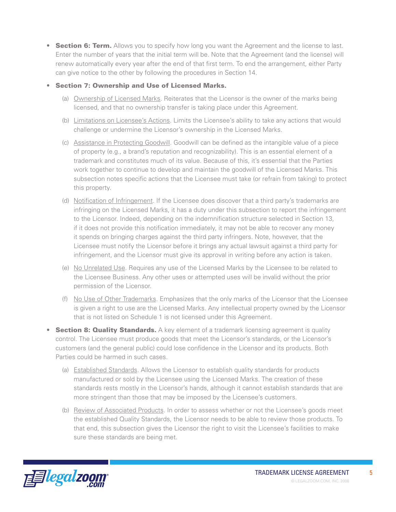- Section 6: Term. Allows you to specify how long you want the Agreement and the license to last. Enter the number of years that the initial term will be. Note that the Agreement (and the license) will renew automatically every year after the end of that first term. To end the arrangement, either Party can give notice to the other by following the procedures in Section 14.
- • Section 7: Ownership and Use of Licensed Marks.
	- (a) Ownership of Licensed Marks. Reiterates that the Licensor is the owner of the marks being licensed, and that no ownership transfer is taking place under this Agreement.
	- (b) Limitations on Licensee's Actions. Limits the Licensee's ability to take any actions that would challenge or undermine the Licensor's ownership in the Licensed Marks.
	- (c) Assistance in Protecting Goodwill. Goodwill can be defined as the intangible value of a piece of property (e.g., a brand's reputation and recognizability). This is an essential element of a trademark and constitutes much of its value. Because of this, it's essential that the Parties work together to continue to develop and maintain the goodwill of the Licensed Marks. This subsection notes specific actions that the Licensee must take (or refrain from taking) to protect this property.
	- (d) Notification of Infringement. If the Licensee does discover that a third party's trademarks are infringing on the Licensed Marks, it has a duty under this subsection to report the infringement to the Licensor. Indeed, depending on the indemnification structure selected in Section 13, if it does not provide this notification immediately, it may not be able to recover any money it spends on bringing charges against the third party infringers. Note, however, that the Licensee must notify the Licensor before it brings any actual lawsuit against a third party for infringement, and the Licensor must give its approval in writing before any action is taken.
	- (e) No Unrelated Use. Requires any use of the Licensed Marks by the Licensee to be related to the Licensee Business. Any other uses or attempted uses will be invalid without the prior permission of the Licensor.
	- (f) No Use of Other Trademarks. Emphasizes that the only marks of the Licensor that the Licensee is given a right to use are the Licensed Marks. Any intellectual property owned by the Licensor that is not listed on Schedule 1 is not licensed under this Agreement.
- Section 8: Quality Standards. A key element of a trademark licensing agreement is quality control. The Licensee must produce goods that meet the Licensor's standards, or the Licensor's customers (and the general public) could lose confidence in the Licensor and its products. Both Parties could be harmed in such cases.
	- (a) Established Standards. Allows the Licensor to establish quality standards for products manufactured or sold by the Licensee using the Licensed Marks. The creation of these standards rests mostly in the Licensor's hands, although it cannot establish standards that are more stringent than those that may be imposed by the Licensee's customers.
	- (b) Review of Associated Products. In order to assess whether or not the Licensee's goods meet the established Quality Standards, the Licensor needs to be able to review those products. To that end, this subsection gives the Licensor the right to visit the Licensee's facilities to make sure these standards are being met.

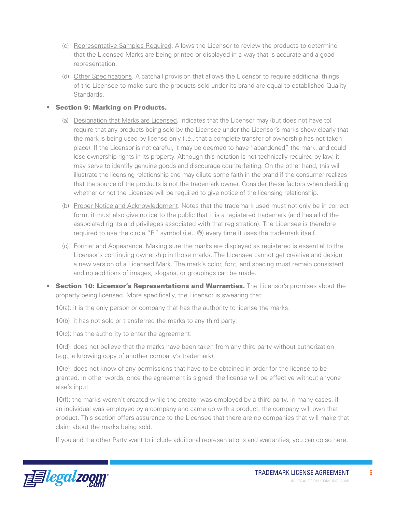- (c) Representative Samples Required. Allows the Licensor to review the products to determine that the Licensed Marks are being printed or displayed in a way that is accurate and a good representation.
- (d) Other Specifications. A catchall provision that allows the Licensor to require additional things of the Licensee to make sure the products sold under its brand are equal to established Quality Standards.

#### • Section 9: Marking on Products.

- (a) Designation that Marks are Licensed. Indicates that the Licensor may (but does not have to) require that any products being sold by the Licensee under the Licensor's marks show clearly that the mark is being used by license only (i.e., that a complete transfer of ownership has not taken place). If the Licensor is not careful, it may be deemed to have "abandoned" the mark, and could lose ownership rights in its property. Although this notation is not technically required by law, it may serve to identify genuine goods and discourage counterfeiting. On the other hand, this will illustrate the licensing relationship and may dilute some faith in the brand if the consumer realizes that the source of the products is not the trademark owner. Consider these factors when deciding whether or not the Licensee will be required to give notice of the licensing relationship.
- (b) Proper Notice and Acknowledgment. Notes that the trademark used must not only be in correct form, it must also give notice to the public that it is a registered trademark (and has all of the associated rights and privileges associated with that registration). The Licensee is therefore required to use the circle "R" symbol (i.e., ®) every time it uses the trademark itself.
- (c) Format and Appearance. Making sure the marks are displayed as registered is essential to the Licensor's continuing ownership in those marks. The Licensee cannot get creative and design a new version of a Licensed Mark. The mark's color, font, and spacing must remain consistent and no additions of images, slogans, or groupings can be made.
- **Section 10: Licensor's Representations and Warranties.** The Licensor's promises about the property being licensed. More specifically, the Licensor is swearing that:

10(a): it is the only person or company that has the authority to license the marks.

10(b): it has not sold or transferred the marks to any third party.

10(c): has the authority to enter the agreement.

10(d): does not believe that the marks have been taken from any third party without authorization (e.g., a knowing copy of another company's trademark).

10(e): does not know of any permissions that have to be obtained in order for the license to be granted. In other words, once the agreement is signed, the license will be effective without anyone else's input.

10(f): the marks weren't created while the creator was employed by a third party. In many cases, if an individual was employed by a company and came up with a product, the company will own that product. This section offers assurance to the Licensee that there are no companies that will make that claim about the marks being sold.

If you and the other Party want to include additional representations and warranties, you can do so here.

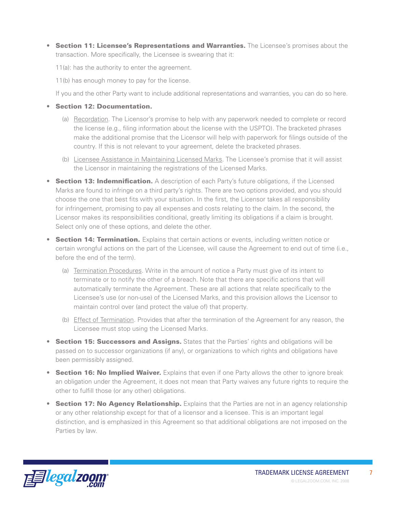- **Section 11: Licensee's Representations and Warranties.** The Licensee's promises about the transaction. More specifically, the Licensee is swearing that it:
	- 11(a): has the authority to enter the agreement.
	- 11(b) has enough money to pay for the license.

If you and the other Party want to include additional representations and warranties, you can do so here.

- • Section 12: Documentation.
	- (a) Recordation. The Licensor's promise to help with any paperwork needed to complete or record the license (e.g., filing information about the license with the USPTO). The bracketed phrases make the additional promise that the Licensor will help with paperwork for filings outside of the country. If this is not relevant to your agreement, delete the bracketed phrases.
	- (b) Licensee Assistance in Maintaining Licensed Marks. The Licensee's promise that it will assist the Licensor in maintaining the registrations of the Licensed Marks.
- **Section 13: Indemnification.** A description of each Party's future obligations, if the Licensed Marks are found to infringe on a third party's rights. There are two options provided, and you should choose the one that best fits with your situation. In the first, the Licensor takes all responsibility for infringement, promising to pay all expenses and costs relating to the claim. In the second, the Licensor makes its responsibilities conditional, greatly limiting its obligations if a claim is brought. Select only one of these options, and delete the other.
- Section 14: Termination. Explains that certain actions or events, including written notice or certain wrongful actions on the part of the Licensee, will cause the Agreement to end out of time (i.e., before the end of the term).
	- (a) Termination Procedures. Write in the amount of notice a Party must give of its intent to terminate or to notify the other of a breach. Note that there are specific actions that will automatically terminate the Agreement. These are all actions that relate specifically to the Licensee's use (or non-use) of the Licensed Marks, and this provision allows the Licensor to maintain control over (and protect the value of) that property.
	- (b) Effect of Termination. Provides that after the termination of the Agreement for any reason, the Licensee must stop using the Licensed Marks.
- Section 15: Successors and Assigns. States that the Parties' rights and obligations will be passed on to successor organizations (if any), or organizations to which rights and obligations have been permissibly assigned.
- Section 16: No Implied Waiver. Explains that even if one Party allows the other to ignore break an obligation under the Agreement, it does not mean that Party waives any future rights to require the other to fulfill those (or any other) obligations.
- Section 17: No Agency Relationship. Explains that the Parties are not in an agency relationship or any other relationship except for that of a licensor and a licensee. This is an important legal distinction, and is emphasized in this Agreement so that additional obligations are not imposed on the Parties by law.

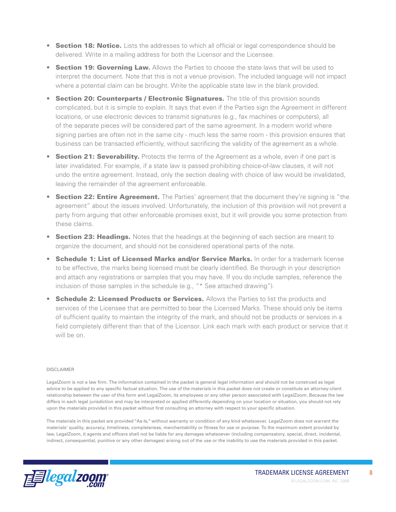- Section 18: Notice. Lists the addresses to which all official or legal correspondence should be delivered. Write in a mailing address for both the Licensor and the Licensee.
- **Section 19: Governing Law.** Allows the Parties to choose the state laws that will be used to interpret the document. Note that this is not a venue provision. The included language will not impact where a potential claim can be brought. Write the applicable state law in the blank provided.
- Section 20: Counterparts / Electronic Signatures. The title of this provision sounds complicated, but it is simple to explain. It says that even if the Parties sign the Agreement in different locations, or use electronic devices to transmit signatures (e.g., fax machines or computers), all of the separate pieces will be considered part of the same agreement. In a modern world where signing parties are often not in the same city - much less the same room - this provision ensures that business can be transacted efficiently, without sacrificing the validity of the agreement as a whole.
- **Section 21: Severability.** Protects the terms of the Agreement as a whole, even if one part is later invalidated. For example, if a state law is passed prohibiting choice-of-law clauses, it will not undo the entire agreement. Instead, only the section dealing with choice of law would be invalidated, leaving the remainder of the agreement enforceable.
- **Section 22: Entire Agreement.** The Parties' agreement that the document they're signing is "the agreement" about the issues involved. Unfortunately, the inclusion of this provision will not prevent a party from arguing that other enforceable promises exist, but it will provide you some protection from these claims.
- **Section 23: Headings.** Notes that the headings at the beginning of each section are meant to organize the document, and should not be considered operational parts of the note.
- **Schedule 1: List of Licensed Marks and/or Service Marks.** In order for a trademark license to be effective, the marks being licensed must be clearly identified. Be thorough in your description and attach any registrations or samples that you may have. If you do include samples, reference the inclusion of those samples in the schedule (e.g., "\* See attached drawing").
- Schedule 2: Licensed Products or Services. Allows the Parties to list the products and services of the Licensee that are permitted to bear the Licensed Marks. These should only be items of sufficient quality to maintain the integrity of the mark, and should not be products or services in a field completely different than that of the Licensor. Link each mark with each product or service that it will be on.

#### DISCLAIMER

LegalZoom is not a law firm. The information contained in the packet is general legal information and should not be construed as legal advice to be applied to any specific factual situation. The use of the materials in this packet does not create or constitute an attorney-client relationship between the user of this form and LegalZoom, its employees or any other person associated with LegalZoom. Because the law differs in each legal jurisdiction and may be interpreted or applied differently depending on your location or situation, you should not rely upon the materials provided in this packet without first consulting an attorney with respect to your specific situation.

The materials in this packet are provided "As-Is," without warranty or condition of any kind whatsoever. LegalZoom does not warrant the materials' quality, accuracy, timeliness, completeness, merchantability or fitness for use or purpose. To the maximum extent provided by law, LegalZoom, it agents and officers shall not be liable for any damages whatsoever (including compensatory, special, direct, incidental, indirect, consequential, punitive or any other damages) arising out of the use or the inability to use the materials provided in this packet.